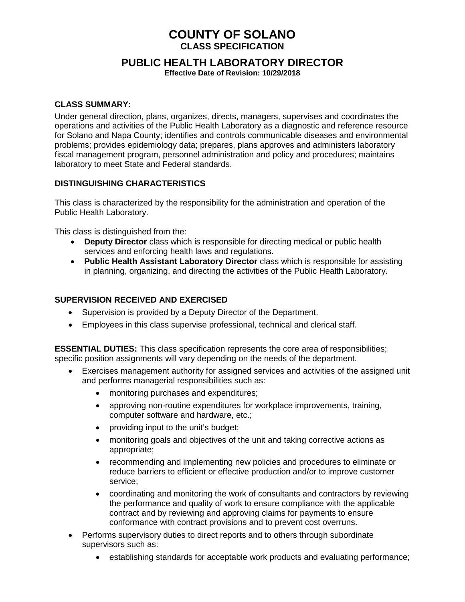# **COUNTY OF SOLANO CLASS SPECIFICATION**

# **PUBLIC HEALTH LABORATORY DIRECTOR**

**Effective Date of Revision: 10/29/2018**

#### **CLASS SUMMARY:**

Under general direction, plans, organizes, directs, managers, supervises and coordinates the operations and activities of the Public Health Laboratory as a diagnostic and reference resource for Solano and Napa County; identifies and controls communicable diseases and environmental problems; provides epidemiology data; prepares, plans approves and administers laboratory fiscal management program, personnel administration and policy and procedures; maintains laboratory to meet State and Federal standards.

#### **DISTINGUISHING CHARACTERISTICS**

This class is characterized by the responsibility for the administration and operation of the Public Health Laboratory.

This class is distinguished from the:

- **Deputy Director** class which is responsible for directing medical or public health services and enforcing health laws and regulations.
- **Public Health Assistant Laboratory Director** class which is responsible for assisting in planning, organizing, and directing the activities of the Public Health Laboratory.

#### **SUPERVISION RECEIVED AND EXERCISED**

- Supervision is provided by a Deputy Director of the Department.
- Employees in this class supervise professional, technical and clerical staff.

**ESSENTIAL DUTIES:** This class specification represents the core area of responsibilities; specific position assignments will vary depending on the needs of the department.

- Exercises management authority for assigned services and activities of the assigned unit and performs managerial responsibilities such as:
	- monitoring purchases and expenditures;
	- approving non-routine expenditures for workplace improvements, training, computer software and hardware, etc.;
	- providing input to the unit's budget;
	- monitoring goals and objectives of the unit and taking corrective actions as appropriate;
	- recommending and implementing new policies and procedures to eliminate or reduce barriers to efficient or effective production and/or to improve customer service;
	- coordinating and monitoring the work of consultants and contractors by reviewing the performance and quality of work to ensure compliance with the applicable contract and by reviewing and approving claims for payments to ensure conformance with contract provisions and to prevent cost overruns.
- Performs supervisory duties to direct reports and to others through subordinate supervisors such as:
	- establishing standards for acceptable work products and evaluating performance;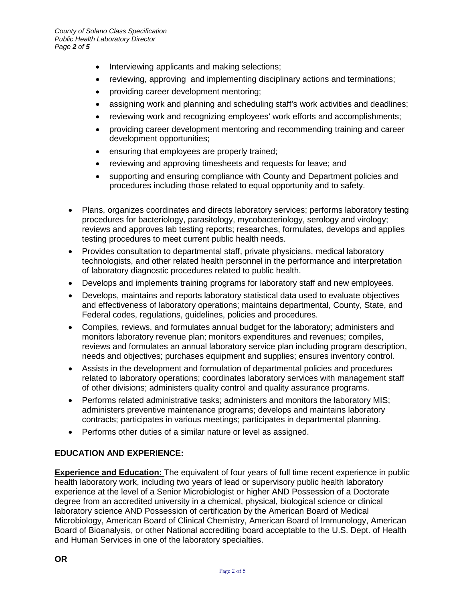- Interviewing applicants and making selections;
- reviewing, approving and implementing disciplinary actions and terminations;
- providing career development mentoring;
- assigning work and planning and scheduling staff's work activities and deadlines;
- reviewing work and recognizing employees' work efforts and accomplishments;
- providing career development mentoring and recommending training and career development opportunities;
- ensuring that employees are properly trained;
- reviewing and approving timesheets and requests for leave; and
- supporting and ensuring compliance with County and Department policies and procedures including those related to equal opportunity and to safety.
- Plans, organizes coordinates and directs laboratory services; performs laboratory testing procedures for bacteriology, parasitology, mycobacteriology, serology and virology; reviews and approves lab testing reports; researches, formulates, develops and applies testing procedures to meet current public health needs.
- Provides consultation to departmental staff, private physicians, medical laboratory technologists, and other related health personnel in the performance and interpretation of laboratory diagnostic procedures related to public health.
- Develops and implements training programs for laboratory staff and new employees.
- Develops, maintains and reports laboratory statistical data used to evaluate objectives and effectiveness of laboratory operations; maintains departmental, County, State, and Federal codes, regulations, guidelines, policies and procedures.
- Compiles, reviews, and formulates annual budget for the laboratory; administers and monitors laboratory revenue plan; monitors expenditures and revenues; compiles, reviews and formulates an annual laboratory service plan including program description, needs and objectives; purchases equipment and supplies; ensures inventory control.
- Assists in the development and formulation of departmental policies and procedures related to laboratory operations; coordinates laboratory services with management staff of other divisions; administers quality control and quality assurance programs.
- Performs related administrative tasks; administers and monitors the laboratory MIS; administers preventive maintenance programs; develops and maintains laboratory contracts; participates in various meetings; participates in departmental planning.
- Performs other duties of a similar nature or level as assigned.

### **EDUCATION AND EXPERIENCE:**

**Experience and Education:** The equivalent of four years of full time recent experience in public health laboratory work, including two years of lead or supervisory public health laboratory experience at the level of a Senior Microbiologist or higher AND Possession of a Doctorate degree from an accredited university in a chemical, physical, biological science or clinical laboratory science AND Possession of certification by the American Board of Medical Microbiology, American Board of Clinical Chemistry, American Board of Immunology, American Board of Bioanalysis, or other National accrediting board acceptable to the U.S. Dept. of Health and Human Services in one of the laboratory specialties.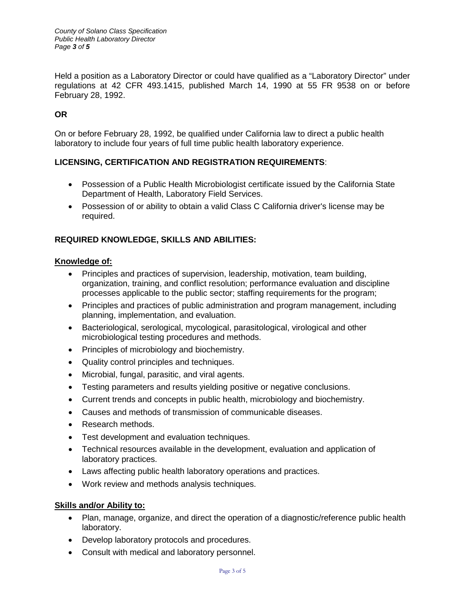*County of Solano Class Specification Public Health Laboratory Director Page 3 of 5*

Held a position as a Laboratory Director or could have qualified as a "Laboratory Director" under regulations at 42 CFR 493.1415, published March 14, 1990 at 55 FR 9538 on or before February 28, 1992.

# **OR**

On or before February 28, 1992, be qualified under California law to direct a public health laboratory to include four years of full time public health laboratory experience.

#### **LICENSING, CERTIFICATION AND REGISTRATION REQUIREMENTS**:

- Possession of a Public Health Microbiologist certificate issued by the California State Department of Health, Laboratory Field Services.
- Possession of or ability to obtain a valid Class C California driver's license may be required.

# **REQUIRED KNOWLEDGE, SKILLS AND ABILITIES:**

#### **Knowledge of:**

- Principles and practices of supervision, leadership, motivation, team building, organization, training, and conflict resolution; performance evaluation and discipline processes applicable to the public sector; staffing requirements for the program;
- Principles and practices of public administration and program management, including planning, implementation, and evaluation.
- Bacteriological, serological, mycological, parasitological, virological and other microbiological testing procedures and methods.
- Principles of microbiology and biochemistry.
- Quality control principles and techniques.
- Microbial, fungal, parasitic, and viral agents.
- Testing parameters and results yielding positive or negative conclusions.
- Current trends and concepts in public health, microbiology and biochemistry.
- Causes and methods of transmission of communicable diseases.
- Research methods.
- Test development and evaluation techniques.
- Technical resources available in the development, evaluation and application of laboratory practices.
- Laws affecting public health laboratory operations and practices.
- Work review and methods analysis techniques.

#### **Skills and/or Ability to:**

- Plan, manage, organize, and direct the operation of a diagnostic/reference public health laboratory.
- Develop laboratory protocols and procedures.
- Consult with medical and laboratory personnel.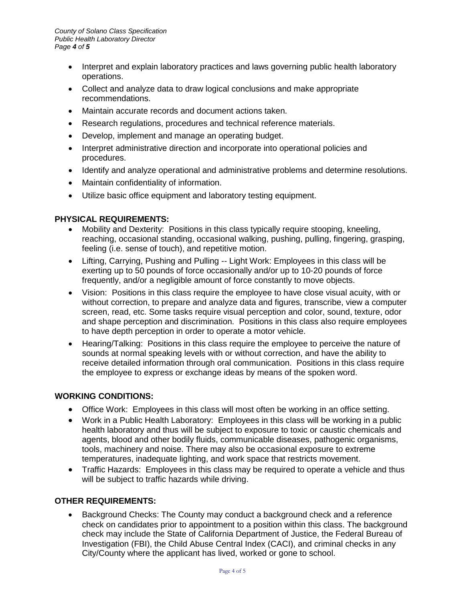- Interpret and explain laboratory practices and laws governing public health laboratory operations.
- Collect and analyze data to draw logical conclusions and make appropriate recommendations.
- Maintain accurate records and document actions taken.
- Research regulations, procedures and technical reference materials.
- Develop, implement and manage an operating budget.
- Interpret administrative direction and incorporate into operational policies and procedures.
- Identify and analyze operational and administrative problems and determine resolutions.
- Maintain confidentiality of information.
- Utilize basic office equipment and laboratory testing equipment.

#### **PHYSICAL REQUIREMENTS:**

- Mobility and Dexterity: Positions in this class typically require stooping, kneeling, reaching, occasional standing, occasional walking, pushing, pulling, fingering, grasping, feeling (i.e. sense of touch), and repetitive motion.
- Lifting, Carrying, Pushing and Pulling -- Light Work: Employees in this class will be exerting up to 50 pounds of force occasionally and/or up to 10-20 pounds of force frequently, and/or a negligible amount of force constantly to move objects.
- Vision: Positions in this class require the employee to have close visual acuity, with or without correction, to prepare and analyze data and figures, transcribe, view a computer screen, read, etc. Some tasks require visual perception and color, sound, texture, odor and shape perception and discrimination. Positions in this class also require employees to have depth perception in order to operate a motor vehicle.
- Hearing/Talking: Positions in this class require the employee to perceive the nature of sounds at normal speaking levels with or without correction, and have the ability to receive detailed information through oral communication. Positions in this class require the employee to express or exchange ideas by means of the spoken word.

#### **WORKING CONDITIONS:**

- Office Work: Employees in this class will most often be working in an office setting.
- Work in a Public Health Laboratory: Employees in this class will be working in a public health laboratory and thus will be subject to exposure to toxic or caustic chemicals and agents, blood and other bodily fluids, communicable diseases, pathogenic organisms, tools, machinery and noise. There may also be occasional exposure to extreme temperatures, inadequate lighting, and work space that restricts movement.
- Traffic Hazards: Employees in this class may be required to operate a vehicle and thus will be subject to traffic hazards while driving.

#### **OTHER REQUIREMENTS:**

• Background Checks: The County may conduct a background check and a reference check on candidates prior to appointment to a position within this class. The background check may include the State of California Department of Justice, the Federal Bureau of Investigation (FBI), the Child Abuse Central Index (CACI), and criminal checks in any City/County where the applicant has lived, worked or gone to school.